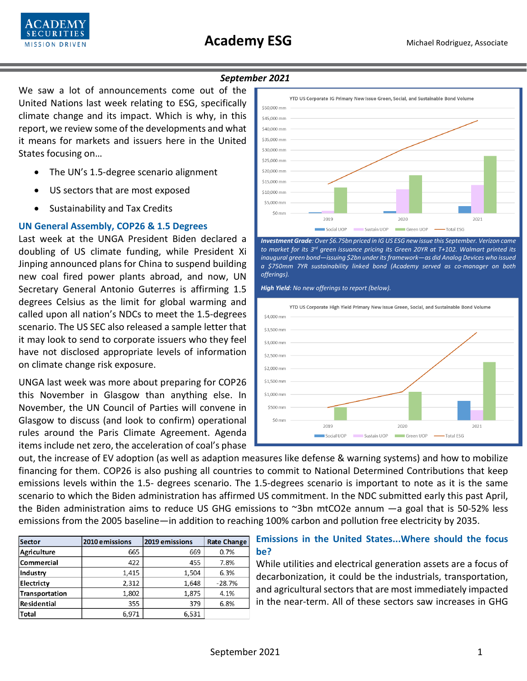

#### *September 2021*

We saw a lot of announcements come out of the United Nations last week relating to ESG, specifically climate change and its impact. Which is why, in this report, we review some of the developments and what it means for markets and issuers here in the United States focusing on…

- The UN's 1.5-degree scenario alignment
- US sectors that are most exposed
- Sustainability and Tax Credits

## **UN General Assembly, COP26 & 1.5 Degrees**

Last week at the UNGA President Biden declared a doubling of US climate funding, while President Xi Jinping announced plans for China to suspend building new coal fired power plants abroad, and now, UN Secretary General Antonio Guterres is affirming 1.5 degrees Celsius as the limit for global warming and called upon all nation's NDCs to meet the 1.5-degrees scenario. The US SEC also released a sample letter that it may look to send to corporate issuers who they feel have not disclosed appropriate levels of information on climate change risk exposure.

UNGA last week was more about preparing for COP26 this November in Glasgow than anything else. In November, the UN Council of Parties will convene in Glasgow to discuss (and look to confirm) operational rules around the Paris Climate Agreement. Agenda items include net zero, the acceleration of coal's phase



*Investment Grade: Over \$6.75bn priced in IG US ESG new issue this September. Verizon came to market for its 3rd green issuance pricing its Green 20YR at T+102. Walmart printed its inaugural green bond—issuing \$2bn under its framework—as did Analog Devices who issued a \$750mm 7YR sustainability linked bond (Academy served as co-manager on both offerings).* 

*High Yield: No new offerings to report (below).*



out, the increase of EV adoption (as well as adaption measures like defense & warning systems) and how to mobilize financing for them. COP26 is also pushing all countries to commit to National Determined Contributions that keep emissions levels within the 1.5- degrees scenario. The 1.5-degrees scenario is important to note as it is the same scenario to which the Biden administration has affirmed US commitment. In the NDC submitted early this past April, the Biden administration aims to reduce US GHG emissions to ~3bn mtCO2e annum —a goal that is 50-52% less emissions from the 2005 baseline—in addition to reaching 100% carbon and pollution free electricity by 2035.

| <b>Sector</b>     | 2010 emissions | 2019 emissions | <b>Rate Change</b> |
|-------------------|----------------|----------------|--------------------|
| Agriculture       | 665            | 669            | 0.7%               |
| <b>Commercial</b> | 422            | 455            | 7.8%               |
| Industry          | 1.415          | 1,504          | 6.3%               |
| Electricty        | 2,312          | 1.648          | $-28.7%$           |
| Transportation    | 1,802          | 1,875          | 4.1%               |
| Residential       | 355            | 379            | 6.8%               |
| <b>Total</b>      | 6,971          | 6,531          |                    |

# **Emissions in the United States...Where should the focus be?**

While utilities and electrical generation assets are a focus of decarbonization, it could be the industrials, transportation, and agricultural sectors that are most immediately impacted in the near-term. All of these sectors saw increases in GHG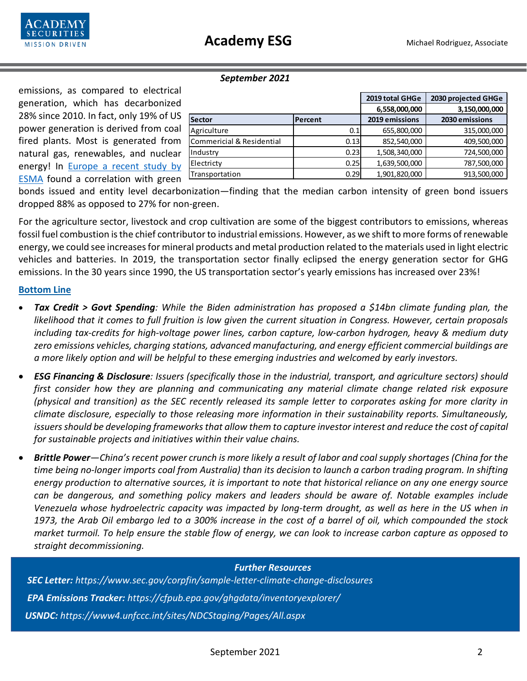

#### *September 2021*

emissions, as compared to electrical generation, which has decarbonized 28% since 2010. In fact, only 19% of US power generation is derived from coal fired plants. Most is generated from natural gas, renewables, and nuclear energy! In [Europe a recent study by](https://www.responsible-investor.com/articles/eu-regulator-finds-link-between-green-bond-issuance-and-carbon-trajectory)  [ESMA](https://www.responsible-investor.com/articles/eu-regulator-finds-link-between-green-bond-issuance-and-carbon-trajectory) found a correlation with green

|                           |         | 2019 total GHGe | 2030 projected GHGe |
|---------------------------|---------|-----------------|---------------------|
|                           |         | 6,558,000,000   | 3,150,000,000       |
| <b>Sector</b>             | Percent | 2019 emissions  | 2030 emissions      |
| Agriculture               | 0.1     | 655,800,000     | 315,000,000         |
| Commericial & Residential | 0.13    | 852,540,000     | 409,500,000         |
| Industry                  | 0.23    | 1,508,340,000   | 724,500,000         |
| Electricty                | 0.25    | 1,639,500,000   | 787,500,000         |
| Transportation            | 0.29    | 1,901,820,000   | 913,500,000         |

bonds issued and entity level decarbonization—finding that the median carbon intensity of green bond issuers dropped 88% as opposed to 27% for non-green.

For the agriculture sector, livestock and crop cultivation are some of the biggest contributors to emissions, whereas fossil fuel combustion is the chief contributor to industrial emissions. However, as we shift to more forms of renewable energy, we could see increases for mineral products and metal production related to the materials used in light electric vehicles and batteries. In 2019, the transportation sector finally eclipsed the energy generation sector for GHG emissions. In the 30 years since 1990, the US transportation sector's yearly emissions has increased over 23%!

### **Bottom Line**

- *Tax Credit > Govt Spending: While the Biden administration has proposed a \$14bn climate funding plan, the likelihood that it comes to full fruition is low given the current situation in Congress. However, certain proposals including tax-credits for high-voltage power lines, carbon capture, low-carbon hydrogen, heavy & medium duty zero emissions vehicles, charging stations, advanced manufacturing, and energy efficient commercial buildings are a more likely option and will be helpful to these emerging industries and welcomed by early investors.*
- *ESG Financing & Disclosure: Issuers (specifically those in the industrial, transport, and agriculture sectors) should first consider how they are planning and communicating any material climate change related risk exposure (physical and transition) as the SEC recently released its sample letter to corporates asking for more clarity in climate disclosure, especially to those releasing more information in their sustainability reports. Simultaneously, issuers should be developing frameworks that allow them to capture investor interest and reduce the cost of capital for sustainable projects and initiatives within their value chains.*
- *Brittle Power—China's recent power crunch is more likely a result of labor and coal supply shortages (China for the time being no-longer imports coal from Australia) than its decision to launch a carbon trading program. In shifting energy production to alternative sources, it is important to note that historical reliance on any one energy source can be dangerous, and something policy makers and leaders should be aware of. Notable examples include Venezuela whose hydroelectric capacity was impacted by long-term drought, as well as here in the US when in 1973, the Arab Oil embargo led to a 300% increase in the cost of a barrel of oil, which compounded the stock market turmoil. To help ensure the stable flow of energy, we can look to increase carbon capture as opposed to straight decommissioning.*

### *Further Resources*

 *SEC Letter: https://www.sec.gov/corpfin/sample-letter-climate-change-disclosures EPA Emissions Tracker: https://cfpub.epa.gov/ghgdata/inventoryexplorer/ USNDC: https://www4.unfccc.int/sites/NDCStaging/Pages/All.aspx*